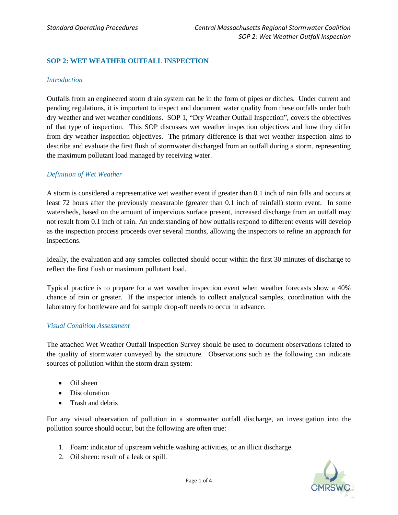# **SOP 2: WET WEATHER OUTFALL INSPECTION**

#### *Introduction*

Outfalls from an engineered storm drain system can be in the form of pipes or ditches. Under current and pending regulations, it is important to inspect and document water quality from these outfalls under both dry weather and wet weather conditions. SOP 1, "Dry Weather Outfall Inspection", covers the objectives of that type of inspection. This SOP discusses wet weather inspection objectives and how they differ from dry weather inspection objectives. The primary difference is that wet weather inspection aims to describe and evaluate the first flush of stormwater discharged from an outfall during a storm, representing the maximum pollutant load managed by receiving water.

### *Definition of Wet Weather*

A storm is considered a representative wet weather event if greater than 0.1 inch of rain falls and occurs at least 72 hours after the previously measurable (greater than 0.1 inch of rainfall) storm event. In some watersheds, based on the amount of impervious surface present, increased discharge from an outfall may not result from 0.1 inch of rain. An understanding of how outfalls respond to different events will develop as the inspection process proceeds over several months, allowing the inspectors to refine an approach for inspections.

Ideally, the evaluation and any samples collected should occur within the first 30 minutes of discharge to reflect the first flush or maximum pollutant load.

Typical practice is to prepare for a wet weather inspection event when weather forecasts show a 40% chance of rain or greater. If the inspector intends to collect analytical samples, coordination with the laboratory for bottleware and for sample drop-off needs to occur in advance.

### *Visual Condition Assessment*

The attached Wet Weather Outfall Inspection Survey should be used to document observations related to the quality of stormwater conveyed by the structure. Observations such as the following can indicate sources of pollution within the storm drain system:

- Oil sheen
- Discoloration
- Trash and debris

For any visual observation of pollution in a stormwater outfall discharge, an investigation into the pollution source should occur, but the following are often true:

- 1. Foam: indicator of upstream vehicle washing activities, or an illicit discharge.
- 2. Oil sheen: result of a leak or spill.

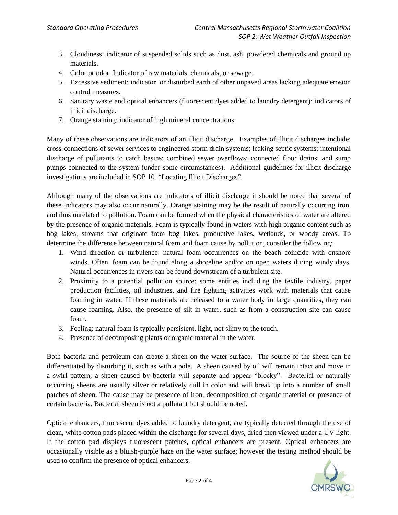- 3. Cloudiness: indicator of suspended solids such as dust, ash, powdered chemicals and ground up materials.
- 4. Color or odor: Indicator of raw materials, chemicals, or sewage.
- 5. Excessive sediment: indicator or disturbed earth of other unpaved areas lacking adequate erosion control measures.
- 6. Sanitary waste and optical enhancers (fluorescent dyes added to laundry detergent): indicators of illicit discharge.
- 7. Orange staining: indicator of high mineral concentrations.

Many of these observations are indicators of an illicit discharge. Examples of illicit discharges include: cross-connections of sewer services to engineered storm drain systems; leaking septic systems; intentional discharge of pollutants to catch basins; combined sewer overflows; connected floor drains; and sump pumps connected to the system (under some circumstances). Additional guidelines for illicit discharge investigations are included in SOP 10, "Locating Illicit Discharges".

Although many of the observations are indicators of illicit discharge it should be noted that several of these indicators may also occur naturally. Orange staining may be the result of naturally occurring iron, and thus unrelated to pollution. Foam can be formed when the physical characteristics of water are altered by the presence of organic materials. Foam is typically found in waters with high organic content such as bog lakes, streams that originate from bog lakes, productive lakes, wetlands, or woody areas. To determine the difference between natural foam and foam cause by pollution, consider the following:

- 1. Wind direction or turbulence: natural foam occurrences on the beach coincide with onshore winds. Often, foam can be found along a shoreline and/or on open waters during windy days. Natural occurrences in rivers can be found downstream of a turbulent site.
- 2. Proximity to a potential pollution source: some entities including the textile industry, paper production facilities, oil industries, and fire fighting activities work with materials that cause foaming in water. If these materials are released to a water body in large quantities, they can cause foaming. Also, the presence of silt in water, such as from a construction site can cause foam.
- 3. Feeling: natural foam is typically persistent, light, not slimy to the touch.
- 4. Presence of decomposing plants or organic material in the water.

Both bacteria and petroleum can create a sheen on the water surface. The source of the sheen can be differentiated by disturbing it, such as with a pole. A sheen caused by oil will remain intact and move in a swirl pattern; a sheen caused by bacteria will separate and appear "blocky". Bacterial or naturally occurring sheens are usually silver or relatively dull in color and will break up into a number of small patches of sheen. The cause may be presence of iron, decomposition of organic material or presence of certain bacteria. Bacterial sheen is not a pollutant but should be noted.

Optical enhancers, fluorescent dyes added to laundry detergent, are typically detected through the use of clean, white cotton pads placed within the discharge for several days, dried then viewed under a UV light. If the cotton pad displays fluorescent patches, optical enhancers are present. Optical enhancers are occasionally visible as a bluish-purple haze on the water surface; however the testing method should be used to confirm the presence of optical enhancers.

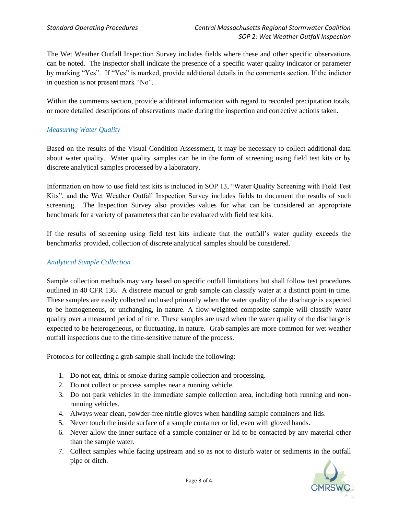The Wet Weather Outfall Inspection Survey includes fields where these and other specific observations can be noted. The inspector shall indicate the presence of a specific water quality indicator or parameter by marking "Yes". If "Yes" is marked, provide additional details in the comments section. If the indictor in question is not present mark "No".

Within the comments section, provide additional information with regard to recorded precipitation totals, or more detailed descriptions of observations made during the inspection and corrective actions taken.

## *Measuring Water Quality*

Based on the results of the Visual Condition Assessment, it may be necessary to collect additional data about water quality. Water quality samples can be in the form of screening using field test kits or by discrete analytical samples processed by a laboratory.

Information on how to use field test kits is included in SOP 13, "Water Quality Screening with Field Test Kits", and the Wet Weather Outfall Inspection Survey includes fields to document the results of such screening. The Inspection Survey also provides values for what can be considered an appropriate benchmark for a variety of parameters that can be evaluated with field test kits.

If the results of screening using field test kits indicate that the outfall's water quality exceeds the benchmarks provided, collection of discrete analytical samples should be considered.

### *Analytical Sample Collection*

Sample collection methods may vary based on specific outfall limitations but shall follow test procedures outlined in 40 CFR 136. A discrete manual or grab sample can classify water at a distinct point in time. These samples are easily collected and used primarily when the water quality of the discharge is expected to be homogeneous, or unchanging, in nature. A flow-weighted composite sample will classify water quality over a measured period of time. These samples are used when the water quality of the discharge is expected to be heterogeneous, or fluctuating, in nature. Grab samples are more common for wet weather outfall inspections due to the time-sensitive nature of the process.

Protocols for collecting a grab sample shall include the following:

- 1. Do not eat, drink or smoke during sample collection and processing.
- 2. Do not collect or process samples near a running vehicle.
- 3. Do not park vehicles in the immediate sample collection area, including both running and nonrunning vehicles.
- 4. Always wear clean, powder-free nitrile gloves when handling sample containers and lids.
- 5. Never touch the inside surface of a sample container or lid, even with gloved hands.
- 6. Never allow the inner surface of a sample container or lid to be contacted by any material other than the sample water.
- 7. Collect samples while facing upstream and so as not to disturb water or sediments in the outfall pipe or ditch.